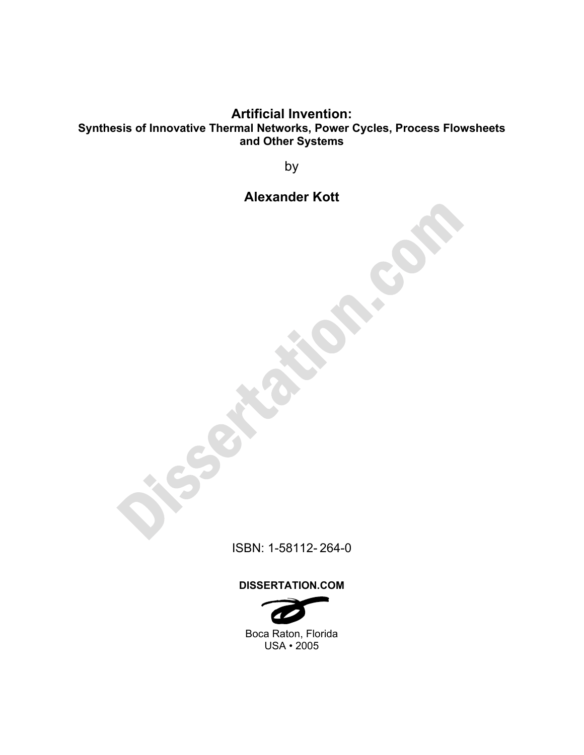### **Artificial Invention: Synthesis of Innovative Thermal Networks, Power Cycles, Process Flowsheets and Other Systems**

by

## **Alexander Kott**

ISBN: 1-58112- 264-0

#### **DISSERTATION.COM**



USA • 2005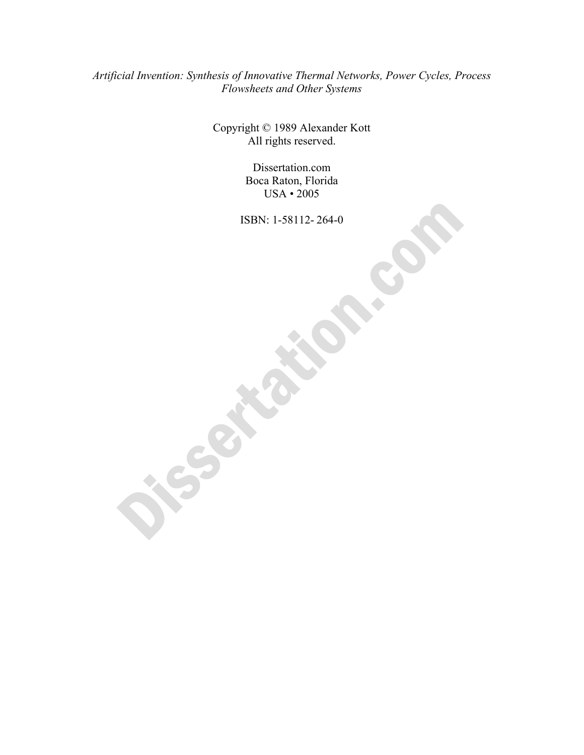#### *Artificial Invention: Synthesis of Innovative Thermal Networks, Power Cycles, Process Flowsheets and Other Systems*

Copyright © 1989 Alexander Kott All rights reserved.

> Dissertation.com Boca Raton, Florida USA • 2005

ISBN: 1-58112- 264-0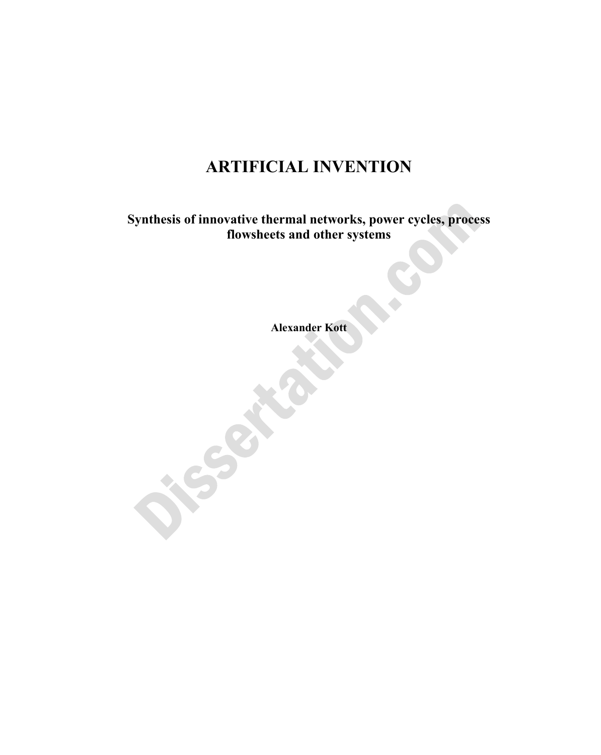# **ARTIFICIAL INVENTION**

**Synthesis of innovative thermal networks, power cycles, process flowsheets and other systems** 

**Alexander Kott**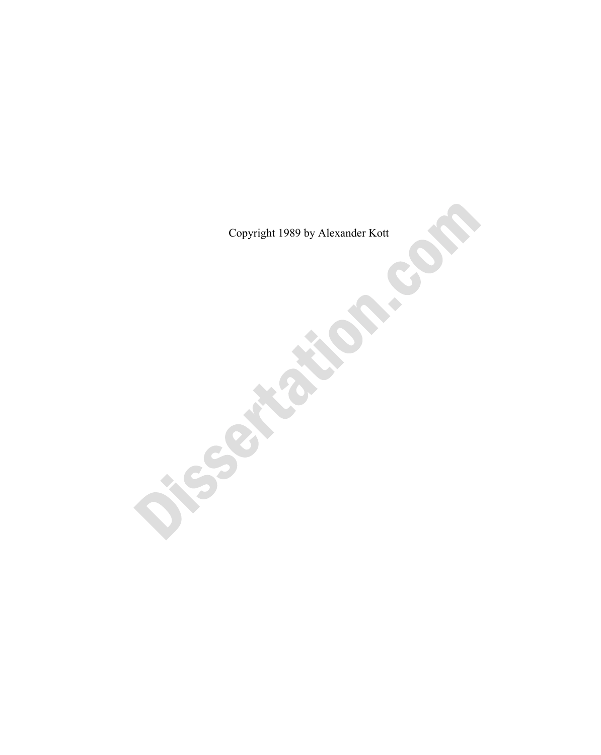Copyright 1989 by Alexander Kott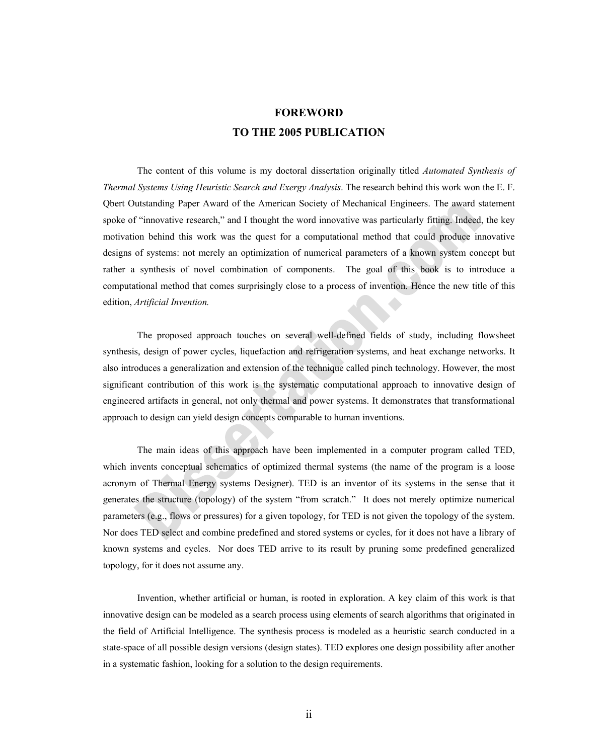### **FOREWORD TO THE 2005 PUBLICATION**

 The content of this volume is my doctoral dissertation originally titled *Automated Synthesis of Thermal Systems Using Heuristic Search and Exergy Analysis*. The research behind this work won the E. F. Qbert Outstanding Paper Award of the American Society of Mechanical Engineers. The award statement spoke of "innovative research," and I thought the word innovative was particularly fitting. Indeed, the key motivation behind this work was the quest for a computational method that could produce innovative designs of systems: not merely an optimization of numerical parameters of a known system concept but rather a synthesis of novel combination of components. The goal of this book is to introduce a computational method that comes surprisingly close to a process of invention. Hence the new title of this edition, *Artificial Invention.*

 The proposed approach touches on several well-defined fields of study, including flowsheet synthesis, design of power cycles, liquefaction and refrigeration systems, and heat exchange networks. It also introduces a generalization and extension of the technique called pinch technology. However, the most significant contribution of this work is the systematic computational approach to innovative design of engineered artifacts in general, not only thermal and power systems. It demonstrates that transformational approach to design can yield design concepts comparable to human inventions.

 The main ideas of this approach have been implemented in a computer program called TED, which invents conceptual schematics of optimized thermal systems (the name of the program is a loose acronym of Thermal Energy systems Designer). TED is an inventor of its systems in the sense that it generates the structure (topology) of the system "from scratch." It does not merely optimize numerical parameters (e.g., flows or pressures) for a given topology, for TED is not given the topology of the system. Nor does TED select and combine predefined and stored systems or cycles, for it does not have a library of known systems and cycles. Nor does TED arrive to its result by pruning some predefined generalized topology, for it does not assume any.

 Invention, whether artificial or human, is rooted in exploration. A key claim of this work is that innovative design can be modeled as a search process using elements of search algorithms that originated in the field of Artificial Intelligence. The synthesis process is modeled as a heuristic search conducted in a state-space of all possible design versions (design states). TED explores one design possibility after another in a systematic fashion, looking for a solution to the design requirements.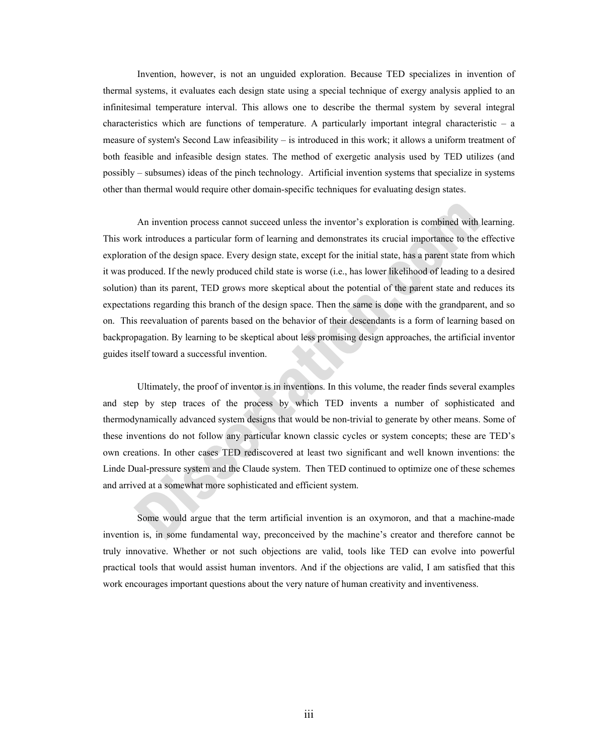Invention, however, is not an unguided exploration. Because TED specializes in invention of thermal systems, it evaluates each design state using a special technique of exergy analysis applied to an infinitesimal temperature interval. This allows one to describe the thermal system by several integral characteristics which are functions of temperature. A particularly important integral characteristic  $-$  a measure of system's Second Law infeasibility – is introduced in this work; it allows a uniform treatment of both feasible and infeasible design states. The method of exergetic analysis used by TED utilizes (and possibly – subsumes) ideas of the pinch technology. Artificial invention systems that specialize in systems other than thermal would require other domain-specific techniques for evaluating design states.

 An invention process cannot succeed unless the inventor's exploration is combined with learning. This work introduces a particular form of learning and demonstrates its crucial importance to the effective exploration of the design space. Every design state, except for the initial state, has a parent state from which it was produced. If the newly produced child state is worse (i.e., has lower likelihood of leading to a desired solution) than its parent, TED grows more skeptical about the potential of the parent state and reduces its expectations regarding this branch of the design space. Then the same is done with the grandparent, and so on. This reevaluation of parents based on the behavior of their descendants is a form of learning based on backpropagation. By learning to be skeptical about less promising design approaches, the artificial inventor guides itself toward a successful invention.

 Ultimately, the proof of inventor is in inventions. In this volume, the reader finds several examples and step by step traces of the process by which TED invents a number of sophisticated and thermodynamically advanced system designs that would be non-trivial to generate by other means. Some of these inventions do not follow any particular known classic cycles or system concepts; these are TED's own creations. In other cases TED rediscovered at least two significant and well known inventions: the Linde Dual-pressure system and the Claude system. Then TED continued to optimize one of these schemes and arrived at a somewhat more sophisticated and efficient system.

 Some would argue that the term artificial invention is an oxymoron, and that a machine-made invention is, in some fundamental way, preconceived by the machine's creator and therefore cannot be truly innovative. Whether or not such objections are valid, tools like TED can evolve into powerful practical tools that would assist human inventors. And if the objections are valid, I am satisfied that this work encourages important questions about the very nature of human creativity and inventiveness.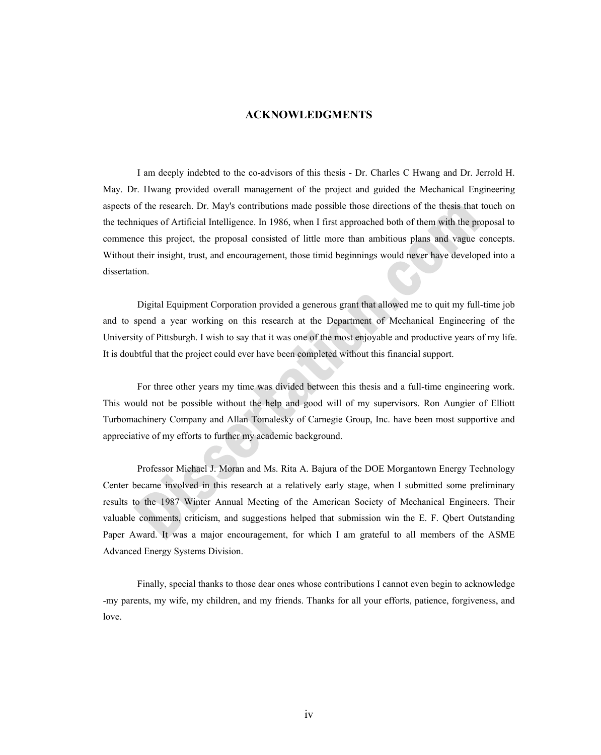#### **ACKNOWLEDGMENTS**

I am deeply indebted to the co-advisors of this thesis - Dr. Charles C Hwang and Dr. Jerrold H. May. Dr. Hwang provided overall management of the project and guided the Mechanical Engineering aspects of the research. Dr. May's contributions made possible those directions of the thesis that touch on the techniques of Artificial Intelligence. In 1986, when I first approached both of them with the proposal to commence this project, the proposal consisted of little more than ambitious plans and vague concepts. Without their insight, trust, and encouragement, those timid beginnings would never have developed into a dissertation.

 Digital Equipment Corporation provided a generous grant that allowed me to quit my full-time job and to spend a year working on this research at the Department of Mechanical Engineering of the University of Pittsburgh. I wish to say that it was one of the most enjoyable and productive years of my life. It is doubtful that the project could ever have been completed without this financial support.

 For three other years my time was divided between this thesis and a full-time engineering work. This would not be possible without the help and good will of my supervisors. Ron Aungier of Elliott Turbomachinery Company and Allan Tomalesky of Carnegie Group, Inc. have been most supportive and appreciative of my efforts to further my academic background.

 Professor Michael J. Moran and Ms. Rita A. Bajura of the DOE Morgantown Energy Technology Center became involved in this research at a relatively early stage, when I submitted some preliminary results to the 1987 Winter Annual Meeting of the American Society of Mechanical Engineers. Their valuable comments, criticism, and suggestions helped that submission win the E. F. Qbert Outstanding Paper Award. It was a major encouragement, for which I am grateful to all members of the ASME Advanced Energy Systems Division.

 Finally, special thanks to those dear ones whose contributions I cannot even begin to acknowledge -my parents, my wife, my children, and my friends. Thanks for all your efforts, patience, forgiveness, and love.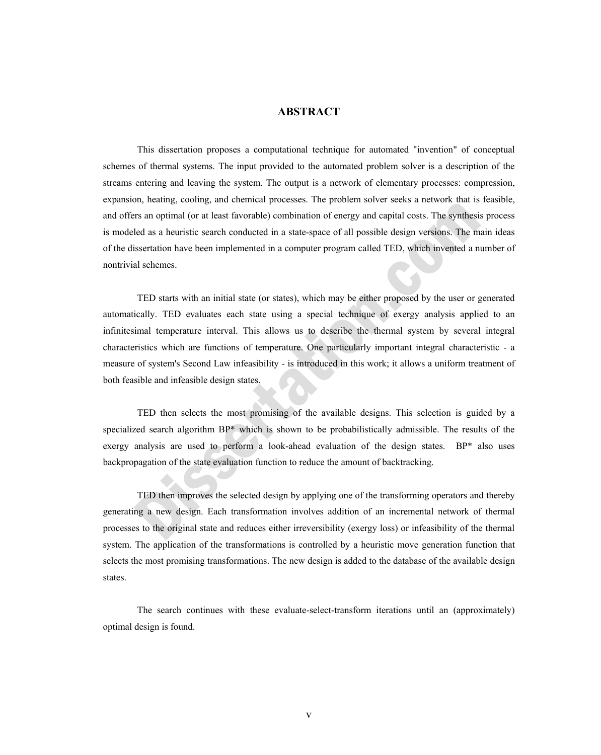#### **ABSTRACT**

This dissertation proposes a computational technique for automated "invention" of conceptual schemes of thermal systems. The input provided to the automated problem solver is a description of the streams entering and leaving the system. The output is a network of elementary processes: compression, expansion, heating, cooling, and chemical processes. The problem solver seeks a network that is feasible, and offers an optimal (or at least favorable) combination of energy and capital costs. The synthesis process is modeled as a heuristic search conducted in a state-space of all possible design versions. The main ideas of the dissertation have been implemented in a computer program called TED, which invented a number of nontrivial schemes.

 TED starts with an initial state (or states), which may be either proposed by the user or generated automatically. TED evaluates each state using a special technique of exergy analysis applied to an infinitesimal temperature interval. This allows us to describe the thermal system by several integral characteristics which are functions of temperature. One particularly important integral characteristic - a measure of system's Second Law infeasibility - is introduced in this work; it allows a uniform treatment of both feasible and infeasible design states.

 TED then selects the most promising of the available designs. This selection is guided by a specialized search algorithm BP\* which is shown to be probabilistically admissible. The results of the exergy analysis are used to perform a look-ahead evaluation of the design states. BP\* also uses backpropagation of the state evaluation function to reduce the amount of backtracking.

 TED then improves the selected design by applying one of the transforming operators and thereby generating a new design. Each transformation involves addition of an incremental network of thermal processes to the original state and reduces either irreversibility (exergy loss) or infeasibility of the thermal system. The application of the transformations is controlled by a heuristic move generation function that selects the most promising transformations. The new design is added to the database of the available design states.

 The search continues with these evaluate-select-transform iterations until an (approximately) optimal design is found.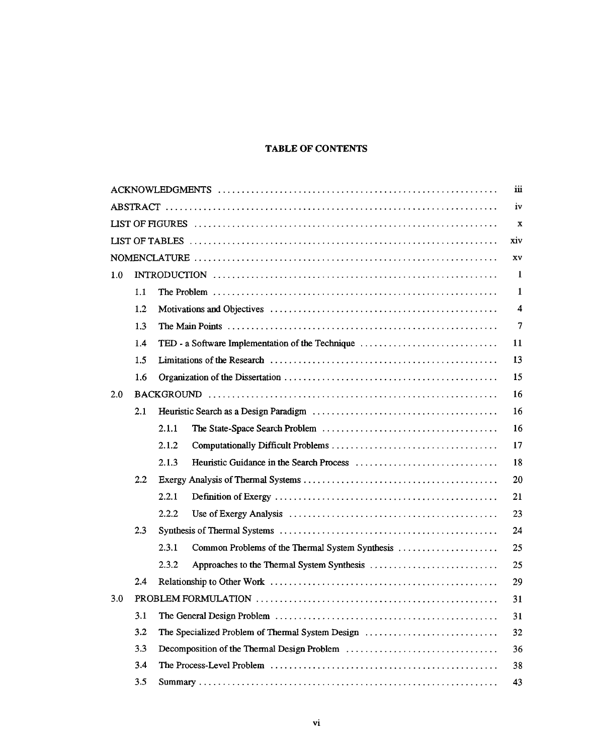#### **TABLE OF CONTENTS**

|     |                  |       |                                                  | iй             |
|-----|------------------|-------|--------------------------------------------------|----------------|
| iv  |                  |       |                                                  |                |
|     |                  |       |                                                  | $\mathbf x$    |
|     |                  |       |                                                  | xiv            |
|     |                  |       |                                                  | XV             |
| 1.0 |                  |       |                                                  | -1             |
|     | 1.1              |       |                                                  | 1              |
|     | 1.2              |       |                                                  | $\overline{4}$ |
|     | 1.3              |       |                                                  | $\overline{7}$ |
|     | 1.4              |       | TED - a Software Implementation of the Technique | 11             |
|     | 1.5              |       |                                                  | 13             |
|     | 1.6              |       |                                                  | 15             |
| 2.0 |                  |       |                                                  | 16             |
|     | 2.1              |       |                                                  | 16             |
|     |                  | 2.1.1 |                                                  | 16             |
|     |                  | 2.1.2 |                                                  | 17             |
|     |                  | 2.1.3 |                                                  | 18             |
|     | $2.2\phantom{0}$ |       |                                                  | 20             |
|     |                  | 2.2.1 |                                                  | 21             |
|     |                  | 2.2.2 |                                                  | 23             |
|     | 2.3              |       |                                                  | 24             |
|     |                  | 2.3.1 | Common Problems of the Thermal System Synthesis  | 25             |
|     |                  | 2.3.2 |                                                  | 25             |
|     | 2.4              |       |                                                  | 29             |
| 3.0 |                  |       |                                                  | 31             |
|     | 3.1              |       |                                                  | 31             |
|     | 3.2              |       | The Specialized Problem of Thermal System Design | 32             |
|     | 3.3              |       |                                                  | 36             |
|     | 3.4              |       |                                                  | 38             |
|     | 3.5              |       |                                                  | 43             |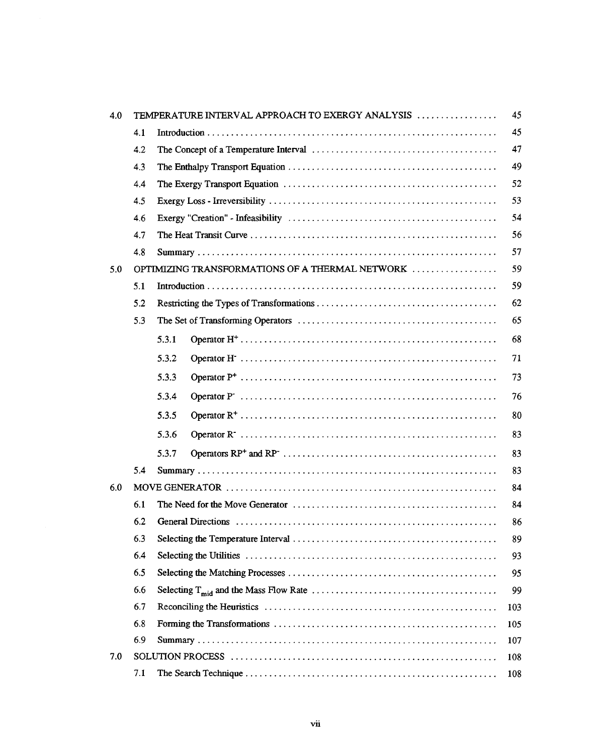| 4.0 |     | TEMPERATURE INTERVAL APPROACH TO EXERGY ANALYSIS | 45  |
|-----|-----|--------------------------------------------------|-----|
|     | 4.1 |                                                  | 45  |
|     | 4.2 |                                                  | 47  |
|     | 4.3 |                                                  | 49  |
|     | 4.4 |                                                  | 52  |
|     | 4.5 |                                                  | 53  |
|     | 4.6 |                                                  | 54  |
|     | 4.7 |                                                  | 56  |
|     | 4.8 |                                                  | 57  |
| 5.0 |     | OPTIMIZING TRANSFORMATIONS OF A THERMAL NETWORK  | 59  |
|     | 5.1 |                                                  | 59  |
|     | 5.2 |                                                  | 62  |
|     | 5.3 |                                                  | 65  |
|     |     | 5.3.1                                            | 68  |
|     |     | 5.3.2                                            | 71  |
|     |     | 5.3.3                                            | 73  |
|     |     | 5.3.4                                            | 76  |
|     |     | 5.3.5                                            | 80  |
|     |     | 5.3.6                                            | 83  |
|     |     | 5.3.7                                            | 83  |
|     | 5.4 |                                                  | 83  |
| 6.0 |     |                                                  | 84  |
|     | 6.1 |                                                  | 84  |
|     | 6.2 |                                                  | 86  |
|     | 6.3 |                                                  | 89  |
|     | 6.4 |                                                  | 93  |
|     | 6.5 |                                                  | 95  |
|     | 6.6 |                                                  | 99  |
|     | 6.7 |                                                  | 103 |
|     | 6.8 |                                                  | 105 |
|     | 6.9 |                                                  | 107 |
| 7.0 |     |                                                  | 108 |
|     | 7.1 |                                                  | 108 |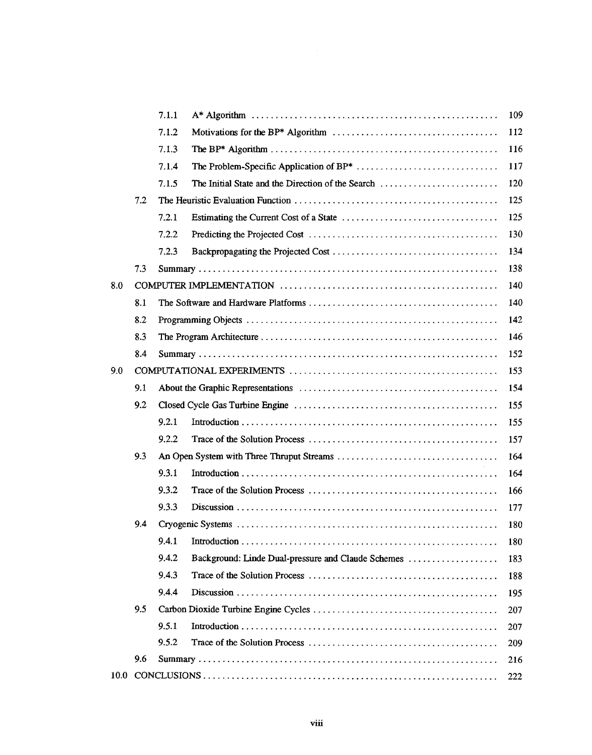|      |     | 7.1.1 |                                                    | 109 |
|------|-----|-------|----------------------------------------------------|-----|
|      |     | 7.1.2 |                                                    | 112 |
|      |     | 7.1.3 |                                                    | 116 |
|      |     | 7.1.4 |                                                    | 117 |
|      |     | 7.1.5 | The Initial State and the Direction of the Search  | 120 |
|      | 7.2 |       |                                                    | 125 |
|      |     | 7.2.1 |                                                    | 125 |
|      |     | 7.2.2 |                                                    | 130 |
|      |     | 7.2.3 |                                                    | 134 |
|      | 7.3 |       |                                                    | 138 |
| 8.0  |     |       |                                                    | 140 |
|      | 8.1 |       |                                                    | 140 |
|      | 8.2 |       |                                                    | 142 |
|      | 8.3 |       |                                                    | 146 |
|      | 8.4 |       |                                                    | 152 |
| 9.0  |     |       |                                                    | 153 |
|      | 9.1 |       |                                                    | 154 |
|      | 9.2 |       |                                                    | 155 |
|      |     | 9.2.1 |                                                    | 155 |
|      |     | 9.2.2 |                                                    | 157 |
|      | 9.3 |       |                                                    | 164 |
|      |     | 9.3.1 |                                                    | 164 |
|      |     | 9.3.2 |                                                    | 166 |
|      |     | 9.3.3 |                                                    | 177 |
|      | 9.4 |       |                                                    | 180 |
|      |     | 9.4.1 |                                                    | 180 |
|      |     | 9.4.2 | Background: Linde Dual-pressure and Claude Schemes | 183 |
|      |     | 9.4.3 |                                                    | 188 |
|      |     | 9.4.4 |                                                    | 195 |
|      | 9.5 |       |                                                    | 207 |
|      |     | 9.5.1 |                                                    | 207 |
|      |     | 9.5.2 |                                                    | 209 |
|      | 9.6 |       |                                                    | 216 |
| 10.0 |     |       |                                                    | 222 |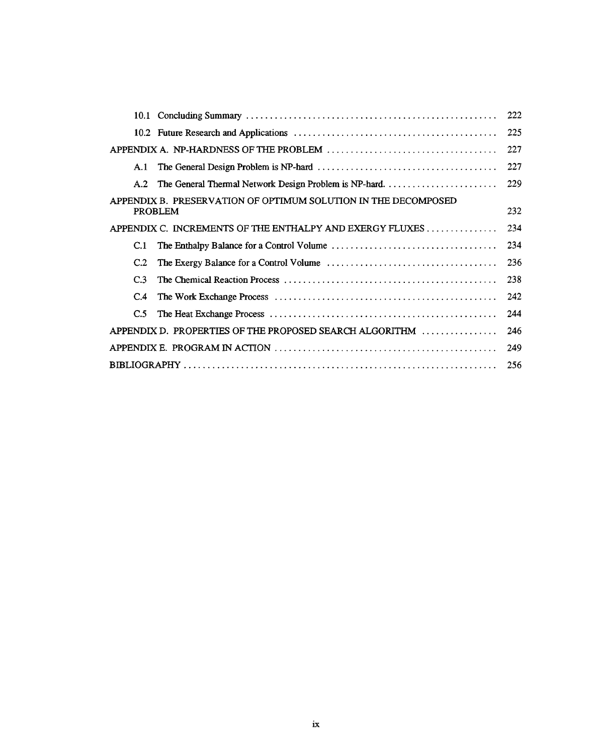|                                                                                  | 222 |
|----------------------------------------------------------------------------------|-----|
|                                                                                  | 225 |
|                                                                                  | 227 |
| A.1                                                                              | 227 |
| The General Thermal Network Design Problem is NP-hard<br>A.2                     | 229 |
| APPENDIX B. PRESERVATION OF OPTIMUM SOLUTION IN THE DECOMPOSED<br><b>PROBLEM</b> | 232 |
| APPENDIX C. INCREMENTS OF THE ENTHALPY AND EXERGY FLUXES                         | 234 |
| C.1                                                                              | 234 |
| C.2                                                                              | 236 |
| C <sub>3</sub>                                                                   | 238 |
| $C_{\rm 4}$                                                                      | 242 |
| C.5                                                                              | 244 |
| APPENDIX D. PROPERTIES OF THE PROPOSED SEARCH ALGORITHM                          | 246 |
|                                                                                  | 249 |
|                                                                                  | 256 |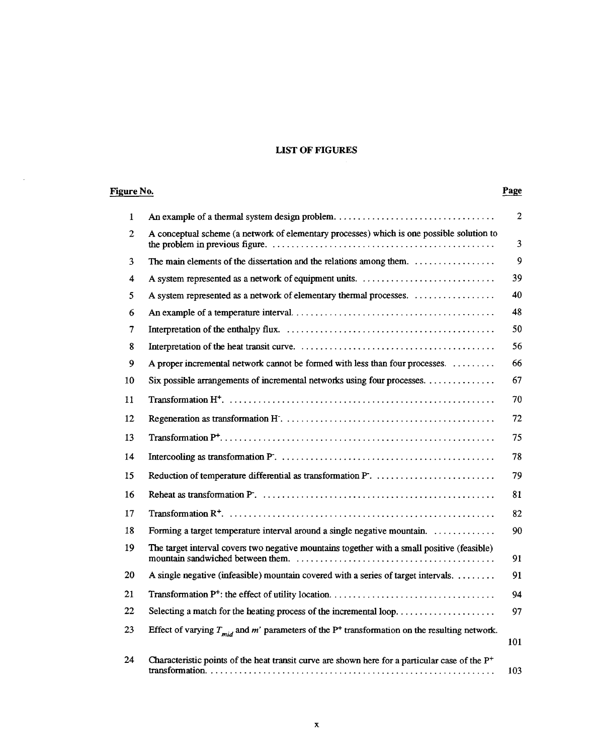#### **LIST OF FIGURES**

| Figure No.   |                                                                                                              |                |
|--------------|--------------------------------------------------------------------------------------------------------------|----------------|
| $\mathbf{1}$ |                                                                                                              | $\overline{2}$ |
| 2            | A conceptual scheme (a network of elementary processes) which is one possible solution to                    | $\overline{3}$ |
| 3            | The main elements of the dissertation and the relations among them.                                          | $\mathbf{9}$   |
| 4            | A system represented as a network of equipment units.                                                        | 39             |
| 5            |                                                                                                              | 40             |
| 6            |                                                                                                              | 48             |
| 7            |                                                                                                              | 50             |
| 8            |                                                                                                              | 56             |
| 9            | A proper incremental network cannot be formed with less than four processes.                                 | 66             |
| 10           | Six possible arrangements of incremental networks using four processes.                                      | 67             |
| 11           |                                                                                                              | 70             |
| 12           |                                                                                                              | 72             |
| 13           |                                                                                                              | 75             |
| 14           |                                                                                                              | 78             |
| 15           |                                                                                                              | 79             |
| 16           |                                                                                                              | 81             |
| 17           |                                                                                                              | 82             |
| 18           | Forming a target temperature interval around a single negative mountain.                                     | 90             |
| 19           | The target interval covers two negative mountains together with a small positive (feasible)                  | 91             |
| 20           | A single negative (infeasible) mountain covered with a series of target intervals.                           | 91             |
| 21           |                                                                                                              | 94             |
| 22           | Selecting a match for the heating process of the incremental loop                                            | 97             |
| 23           | Effect of varying $T_{mid}$ and m' parameters of the P <sup>+</sup> transformation on the resulting network. | 101            |
| 24           | Characteristic points of the heat transit curve are shown here for a particular case of the $P^+$            | 103            |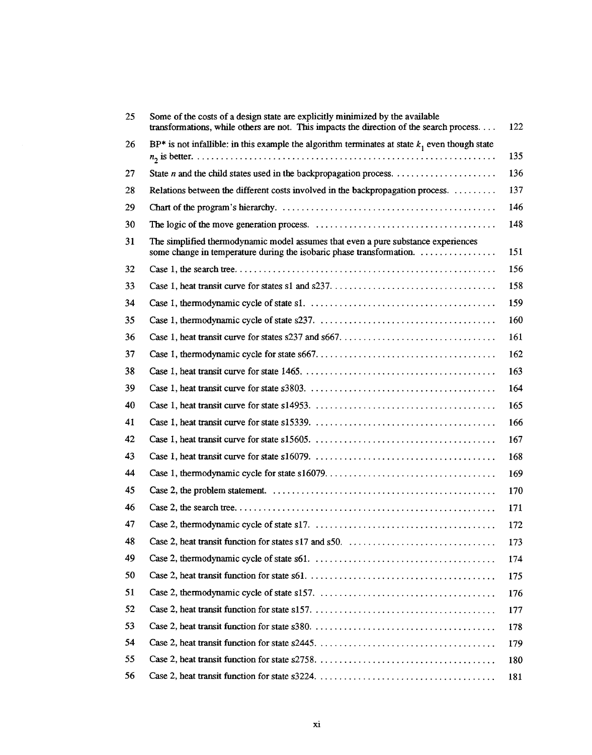| 25 | Some of the costs of a design state are explicitly minimized by the available<br>transformations, while others are not. This impacts the direction of the search process | 122 |
|----|--------------------------------------------------------------------------------------------------------------------------------------------------------------------------|-----|
| 26 | BP* is not infallible: in this example the algorithm terminates at state $k_1$ even though state                                                                         |     |
|    |                                                                                                                                                                          | 135 |
| 27 |                                                                                                                                                                          | 136 |
| 28 | Relations between the different costs involved in the backpropagation process.                                                                                           | 137 |
| 29 |                                                                                                                                                                          | 146 |
| 30 |                                                                                                                                                                          | 148 |
| 31 | The simplified thermodynamic model assumes that even a pure substance experiences<br>some change in temperature during the isobaric phase transformation.                | 151 |
| 32 |                                                                                                                                                                          | 156 |
| 33 |                                                                                                                                                                          | 158 |
| 34 |                                                                                                                                                                          | 159 |
| 35 |                                                                                                                                                                          | 160 |
| 36 |                                                                                                                                                                          | 161 |
| 37 |                                                                                                                                                                          | 162 |
| 38 |                                                                                                                                                                          | 163 |
| 39 |                                                                                                                                                                          | 164 |
| 40 |                                                                                                                                                                          | 165 |
| 41 |                                                                                                                                                                          | 166 |
| 42 |                                                                                                                                                                          | 167 |
| 43 |                                                                                                                                                                          | 168 |
| 44 |                                                                                                                                                                          | 169 |
| 45 |                                                                                                                                                                          | 170 |
| 46 |                                                                                                                                                                          | 171 |
| 47 |                                                                                                                                                                          | 172 |
| 48 |                                                                                                                                                                          | 173 |
| 49 |                                                                                                                                                                          | 174 |
| 50 |                                                                                                                                                                          | 175 |
| 51 |                                                                                                                                                                          | 176 |
| 52 |                                                                                                                                                                          | 177 |
| 53 |                                                                                                                                                                          | 178 |
| 54 |                                                                                                                                                                          | 179 |
| 55 |                                                                                                                                                                          | 180 |
| 56 |                                                                                                                                                                          | 181 |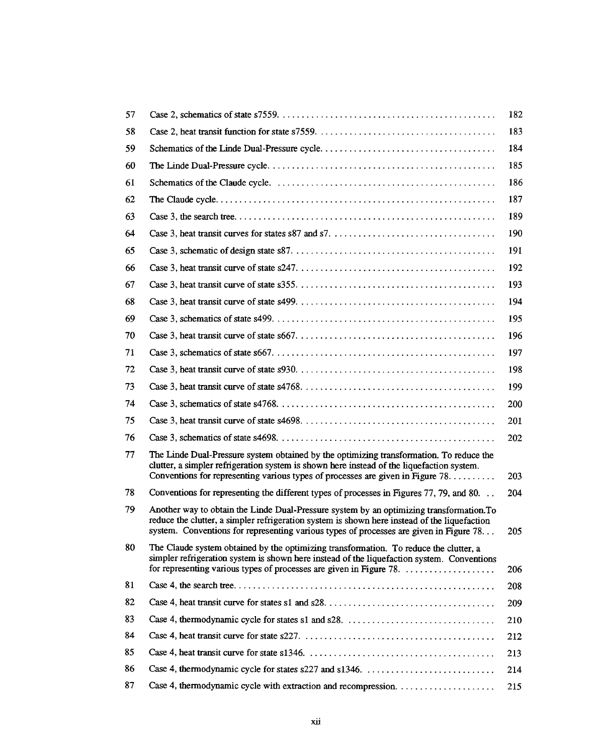|                                                                                                                                                                                                                                                                                    | 182        |
|------------------------------------------------------------------------------------------------------------------------------------------------------------------------------------------------------------------------------------------------------------------------------------|------------|
|                                                                                                                                                                                                                                                                                    | 183        |
|                                                                                                                                                                                                                                                                                    | 184        |
|                                                                                                                                                                                                                                                                                    | 185        |
|                                                                                                                                                                                                                                                                                    | 186        |
|                                                                                                                                                                                                                                                                                    | 187        |
|                                                                                                                                                                                                                                                                                    | 189        |
|                                                                                                                                                                                                                                                                                    | 190        |
|                                                                                                                                                                                                                                                                                    | 191        |
|                                                                                                                                                                                                                                                                                    | 192        |
|                                                                                                                                                                                                                                                                                    | 193        |
|                                                                                                                                                                                                                                                                                    | 194        |
|                                                                                                                                                                                                                                                                                    | 195        |
|                                                                                                                                                                                                                                                                                    | 196        |
|                                                                                                                                                                                                                                                                                    | 197        |
|                                                                                                                                                                                                                                                                                    | 198        |
|                                                                                                                                                                                                                                                                                    | 199        |
|                                                                                                                                                                                                                                                                                    | 200        |
|                                                                                                                                                                                                                                                                                    | 201        |
|                                                                                                                                                                                                                                                                                    | 202        |
| The Linde Dual-Pressure system obtained by the optimizing transformation. To reduce the<br>clutter, a simpler refrigeration system is shown here instead of the liquefaction system.                                                                                               | <b>203</b> |
| Conventions for representing the different types of processes in Figures 77, 79, and 80.                                                                                                                                                                                           | 204        |
| Another way to obtain the Linde Dual-Pressure system by an optimizing transformation. To<br>reduce the clutter, a simpler refrigeration system is shown here instead of the liquefaction<br>system. Conventions for representing various types of processes are given in Figure 78 | 205        |
| The Claude system obtained by the optimizing transformation. To reduce the clutter, a<br>simpler refrigeration system is shown here instead of the liquefaction system. Conventions                                                                                                | 206        |
|                                                                                                                                                                                                                                                                                    | 208        |
|                                                                                                                                                                                                                                                                                    | 209        |
|                                                                                                                                                                                                                                                                                    | 210        |
|                                                                                                                                                                                                                                                                                    | 212        |
|                                                                                                                                                                                                                                                                                    | 213        |
|                                                                                                                                                                                                                                                                                    | 214        |
| Case 4, thermodynamic cycle with extraction and recompression.                                                                                                                                                                                                                     | 215        |
|                                                                                                                                                                                                                                                                                    |            |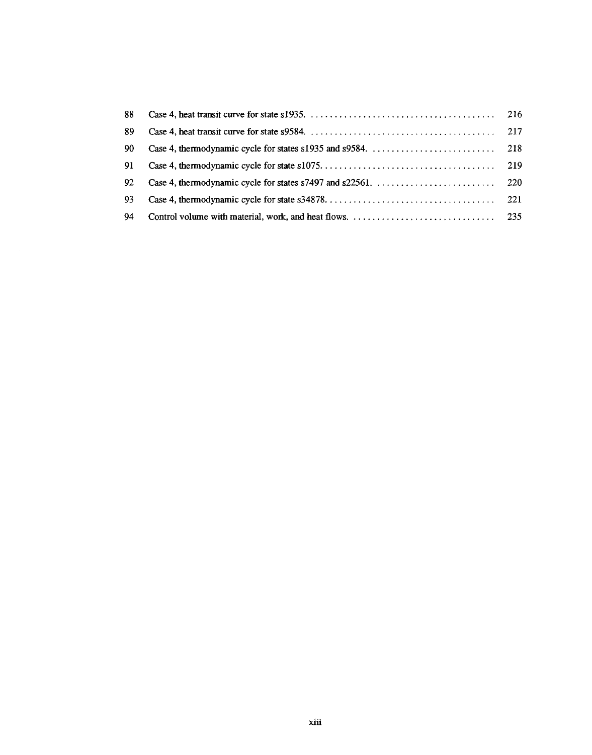| 88 |     |
|----|-----|
| 89 | 217 |
| 90 |     |
| 91 |     |
| 92 |     |
| 93 |     |
| 94 |     |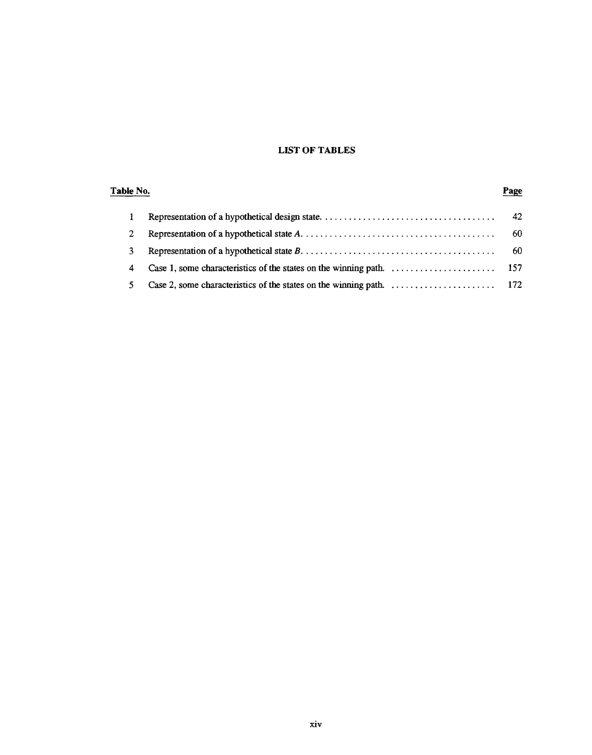#### **LIST OF TABLES**

#### Table No. Page 42  $\mathbf{1}$  $\overline{2}$ 60  $\overline{3}$ 60 Case 1, some characteristics of the states on the winning path. .......................  $\overline{\mathbf{4}}$ 157  $5<sup>5</sup>$ 172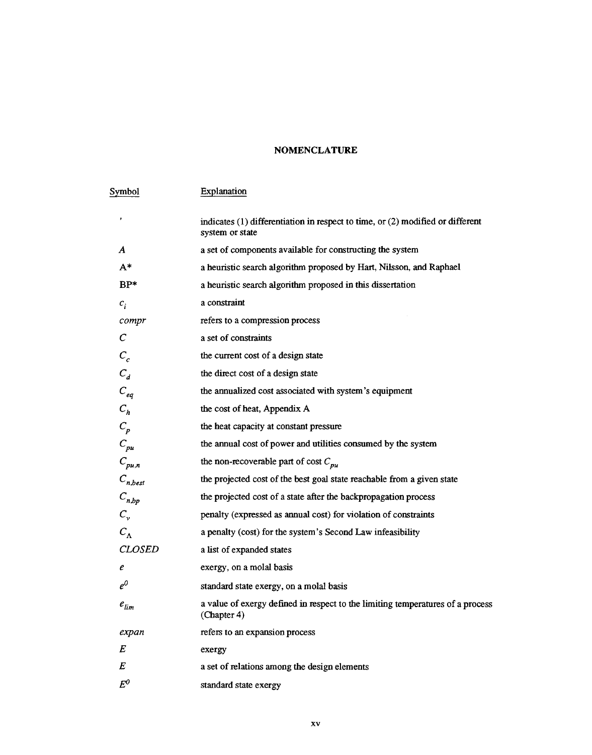#### **NOMENCLATURE**

| Symbol                      | Explanation                                                                                           |
|-----------------------------|-------------------------------------------------------------------------------------------------------|
| ,                           | indicates $(1)$ differentiation in respect to time, or $(2)$ modified or different<br>system or state |
| A                           | a set of components available for constructing the system                                             |
| $A^*$                       | a heuristic search algorithm proposed by Hart, Nilsson, and Raphael                                   |
| $BP*$                       | a heuristic search algorithm proposed in this dissertation                                            |
| $c_i$                       | a constraint                                                                                          |
| compr                       | refers to a compression process                                                                       |
| $\mathcal C$                | a set of constraints                                                                                  |
| $C_c$                       | the current cost of a design state                                                                    |
| $C_d$                       | the direct cost of a design state                                                                     |
| $C_{eq}$                    | the annualized cost associated with system's equipment                                                |
| $C_h$                       | the cost of heat, Appendix A                                                                          |
| $C_p$                       | the heat capacity at constant pressure                                                                |
| $C_{\scriptscriptstyle pu}$ | the annual cost of power and utilities consumed by the system                                         |
| $C_{pu,n}$                  | the non-recoverable part of cost $C_{p\mu}$                                                           |
| $C_{n,best}$                | the projected cost of the best goal state reachable from a given state                                |
| $C_{n,bp}$                  | the projected cost of a state after the backpropagation process                                       |
| $C_{v}$                     | penalty (expressed as annual cost) for violation of constraints                                       |
| $C_{\Lambda}$               | a penalty (cost) for the system's Second Law infeasibility                                            |
| <b>CLOSED</b>               | a list of expanded states                                                                             |
| e                           | exergy, on a molal basis                                                                              |
| $e^0$                       | standard state exergy, on a molal basis                                                               |
| $e_{lim}$                   | a value of exergy defined in respect to the limiting temperatures of a process<br>(Chapter 4)         |
| expan                       | refers to an expansion process                                                                        |
| Е                           | exergy                                                                                                |
| E                           | a set of relations among the design elements                                                          |
| $E^0$                       | standard state exergy                                                                                 |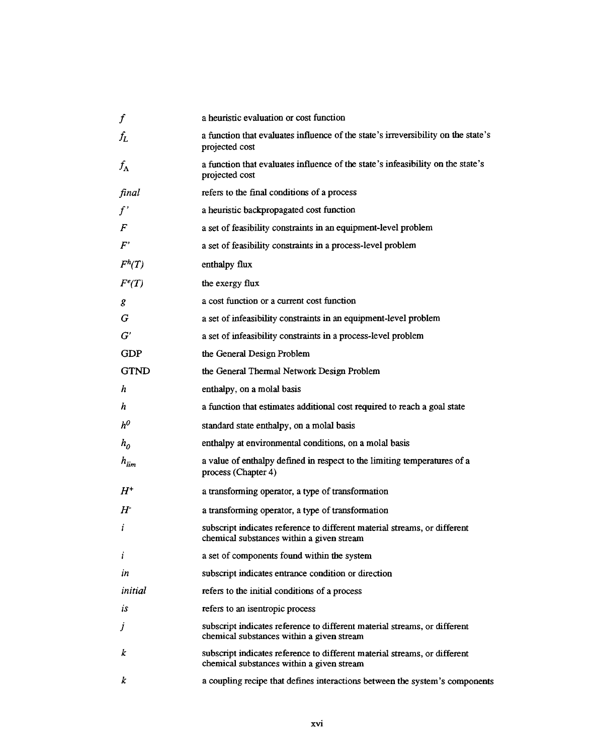| $\bm{f}$                   | a heuristic evaluation or cost function                                                                                |
|----------------------------|------------------------------------------------------------------------------------------------------------------------|
| $f_{\scriptsize L}$        | a function that evaluates influence of the state's irreversibility on the state's<br>projected cost                    |
| $f_{\Lambda}$              | a function that evaluates influence of the state's infeasibility on the state's<br>projected cost                      |
| final                      | refers to the final conditions of a process                                                                            |
| f'                         | a heuristic backpropagated cost function                                                                               |
| F                          | a set of feasibility constraints in an equipment-level problem                                                         |
| $F^\prime$                 | a set of feasibility constraints in a process-level problem                                                            |
| $F^h(T)$                   | enthalpy flux                                                                                                          |
| $F^e(T)$                   | the exergy flux                                                                                                        |
| g                          | a cost function or a current cost function                                                                             |
| G                          | a set of infeasibility constraints in an equipment-level problem                                                       |
| $G^{\prime}$               | a set of infeasibility constraints in a process-level problem                                                          |
| <b>GDP</b>                 | the General Design Problem                                                                                             |
| <b>GTND</b>                | the General Thermal Network Design Problem                                                                             |
| h                          | enthalpy, on a molal basis                                                                                             |
| h                          | a function that estimates additional cost required to reach a goal state                                               |
| $h^0$                      | standard state enthalpy, on a molal basis                                                                              |
| $h_{\scriptscriptstyle D}$ | enthalpy at environmental conditions, on a molal basis                                                                 |
| $h_{lim}$                  | a value of enthalpy defined in respect to the limiting temperatures of a<br>process (Chapter 4)                        |
| $H^+$                      | a transforming operator, a type of transformation                                                                      |
| $H^{\cdot}$                | a transforming operator, a type of transformation                                                                      |
| i                          | subscript indicates reference to different material streams, or different<br>chemical substances within a given stream |
| i                          | a set of components found within the system                                                                            |
| in                         | subscript indicates entrance condition or direction                                                                    |
| initial                    | refers to the initial conditions of a process                                                                          |
| is                         | refers to an isentropic process                                                                                        |
| J                          | subscript indicates reference to different material streams, or different<br>chemical substances within a given stream |
| k                          | subscript indicates reference to different material streams, or different<br>chemical substances within a given stream |
| k                          | a coupling recipe that defines interactions between the system's components                                            |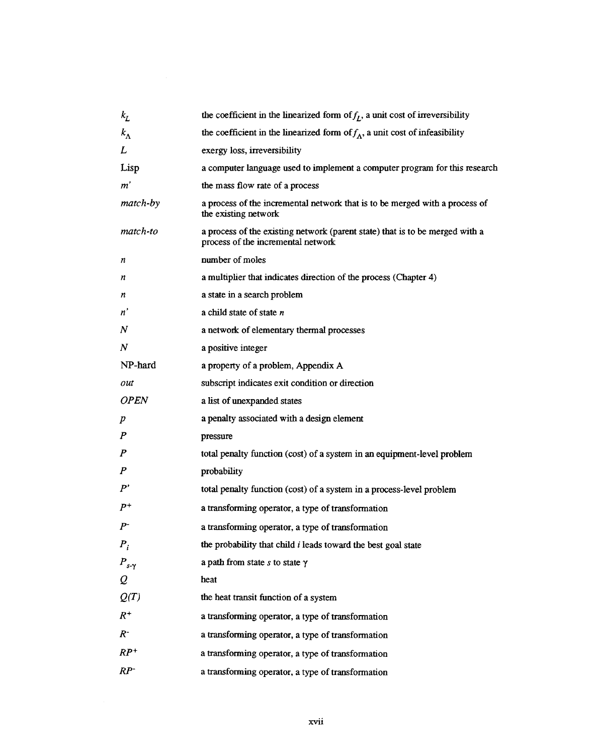| $k_L$            | the coefficient in the linearized form of $f_t$ , a unit cost of irreversibility                                   |
|------------------|--------------------------------------------------------------------------------------------------------------------|
| $k_{\Lambda}$    | the coefficient in the linearized form of $f_{\Lambda}$ , a unit cost of infeasibility                             |
| L                | exergy loss, irreversibility                                                                                       |
| Lisp             | a computer language used to implement a computer program for this research                                         |
| $m^{\prime}$     | the mass flow rate of a process                                                                                    |
| match-by         | a process of the incremental network that is to be merged with a process of<br>the existing network                |
| match-to         | a process of the existing network (parent state) that is to be merged with a<br>process of the incremental network |
| n                | number of moles                                                                                                    |
| n                | a multiplier that indicates direction of the process (Chapter 4)                                                   |
| n                | a state in a search problem                                                                                        |
| n'               | a child state of state $n$                                                                                         |
| N                | a network of elementary thermal processes                                                                          |
| N                | a positive integer                                                                                                 |
| NP-hard          | a property of a problem, Appendix A                                                                                |
| out              | subscript indicates exit condition or direction                                                                    |
| <b>OPEN</b>      | a list of unexpanded states                                                                                        |
| $\boldsymbol{p}$ | a penalty associated with a design element                                                                         |
| $\boldsymbol{P}$ | pressure                                                                                                           |
| $\boldsymbol{P}$ | total penalty function (cost) of a system in an equipment-level problem                                            |
| $\boldsymbol{P}$ | probability                                                                                                        |
| P'               | total penalty function (cost) of a system in a process-level problem                                               |
| $P^+$            | a transforming operator, a type of transformation                                                                  |
| $P^-$            | a transforming operator, a type of transformation                                                                  |
| $P_i$            | the probability that child i leads toward the best goal state                                                      |
| $P_{s-\gamma}$   | a path from state $s$ to state $\gamma$                                                                            |
| $\mathcal{Q}$    | heat                                                                                                               |
| Q(T)             | the heat transit function of a system                                                                              |
| $R^+$            | a transforming operator, a type of transformation                                                                  |
| $R^-$            | a transforming operator, a type of transformation                                                                  |
| $RP^+$           | a transforming operator, a type of transformation                                                                  |
| $RP^-$           | a transforming operator, a type of transformation                                                                  |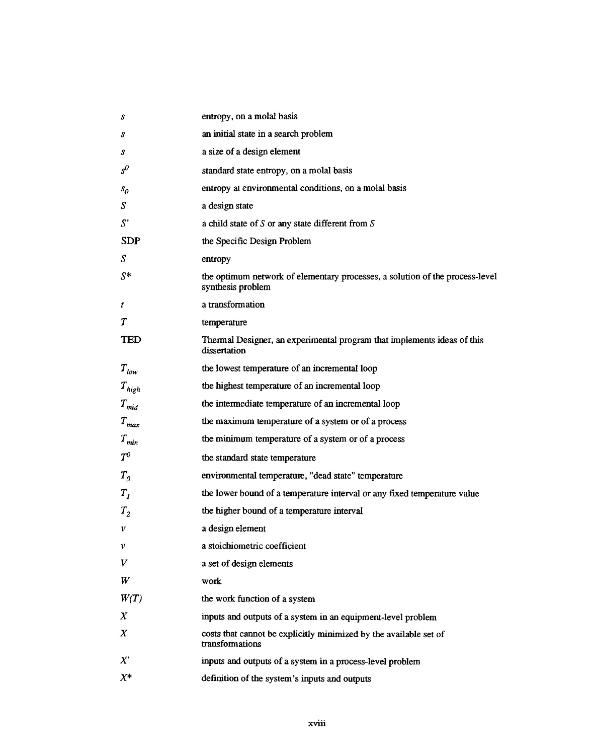| S              | entropy, on a molal basis                                                                         |
|----------------|---------------------------------------------------------------------------------------------------|
| S              | an initial state in a search problem                                                              |
| s              | a size of a design element                                                                        |
| $s^0$          | standard state entropy, on a molal basis                                                          |
| s <sub>0</sub> | entropy at environmental conditions, on a molal basis                                             |
| S              | a design state                                                                                    |
| S'             | a child state of $S$ or any state different from $S$                                              |
| <b>SDP</b>     | the Specific Design Problem                                                                       |
| S              | entropy                                                                                           |
| $S^*$          | the optimum network of elementary processes, a solution of the process-level<br>synthesis problem |
| t              | a transformation                                                                                  |
| T              | temperature                                                                                       |
| TED            | Thermal Designer, an experimental program that implements ideas of this<br>dissertation           |
| $T_{low}$      | the lowest temperature of an incremental loop                                                     |
| $T_{high}$     | the highest temperature of an incremental loop                                                    |
| $T_{mid}$      | the intermediate temperature of an incremental loop                                               |
| $T_{max}$      | the maximum temperature of a system or of a process                                               |
| $T_{min}$      | the minimum temperature of a system or of a process                                               |
| $T^0$          | the standard state temperature                                                                    |
| $T_{\theta}$   | environmental temperature, "dead state" temperature                                               |
| $T_{I}$        | the lower bound of a temperature interval or any fixed temperature value                          |
| $T_{2}$        | the higher bound of a temperature interval                                                        |
| ν              | a design element                                                                                  |
| ν              | a stoichiometric coefficient                                                                      |
| V              | a set of design elements                                                                          |
| W              | work                                                                                              |
| W(T)           | the work function of a system                                                                     |
| Χ              | inputs and outputs of a system in an equipment-level problem                                      |
| X              | costs that cannot be explicitly minimized by the available set of<br>transformations              |
| $X^{\prime}$   | inputs and outputs of a system in a process-level problem                                         |
| $X^*$          | definition of the system's inputs and outputs                                                     |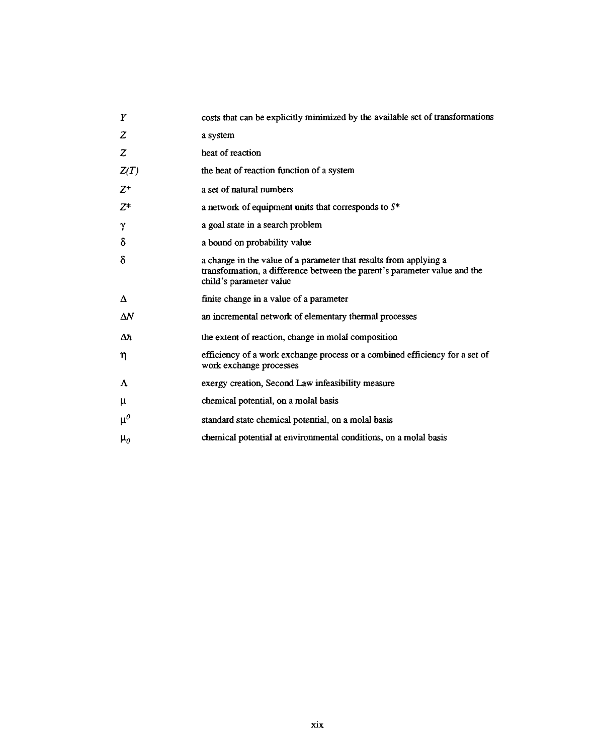| Y          | costs that can be explicitly minimized by the available set of transformations                                                                                            |
|------------|---------------------------------------------------------------------------------------------------------------------------------------------------------------------------|
| Ζ          | a system                                                                                                                                                                  |
| Z          | heat of reaction                                                                                                                                                          |
| Z(T)       | the heat of reaction function of a system                                                                                                                                 |
| $Z^+$      | a set of natural numbers                                                                                                                                                  |
| Z*         | a network of equipment units that corresponds to $S^*$                                                                                                                    |
| γ          | a goal state in a search problem                                                                                                                                          |
| δ          | a bound on probability value                                                                                                                                              |
| δ          | a change in the value of a parameter that results from applying a<br>transformation, a difference between the parent's parameter value and the<br>child's parameter value |
| Δ          | finite change in a value of a parameter                                                                                                                                   |
| $\Delta N$ | an incremental network of elementary thermal processes                                                                                                                    |
| $\Delta n$ | the extent of reaction, change in molal composition                                                                                                                       |
| η          | efficiency of a work exchange process or a combined efficiency for a set of<br>work exchange processes                                                                    |
| Λ          | exergy creation, Second Law infeasibility measure                                                                                                                         |
| μ          | chemical potential, on a molal basis                                                                                                                                      |
| $\mu^0$    | standard state chemical potential, on a molal basis                                                                                                                       |
| $\mu_o$    | chemical potential at environmental conditions, on a molal basis                                                                                                          |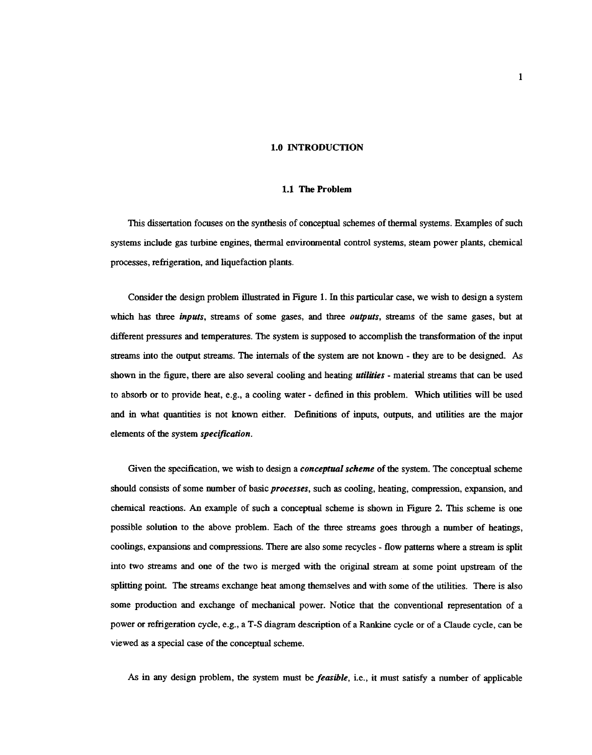#### **1.0 INTRODUCTION**

#### 1.1 The Problem

This dissertation focuses on the synthesis of conceptual schemes of thermal systems. Examples of such systems include gas turbine engines, thermal environmental control systems, steam power plants, chemical processes, refrigeration, and liquefaction plants.

Consider the design problem illustrated in Figure 1. In this particular case, we wish to design a system which has three *inputs*, streams of some gases, and three *outputs*, streams of the same gases, but at different pressures and temperatures. The system is supposed to accomplish the transformation of the input streams into the output streams. The internals of the system are not known - they are to be designed. As shown in the figure, there are also several cooling and heating *utilities* - material streams that can be used to absorb or to provide heat, e.g., a cooling water - defined in this problem. Which utilities will be used and in what quantities is not known either. Definitions of inputs, outputs, and utilities are the major elements of the system specification.

Given the specification, we wish to design a *conceptual scheme* of the system. The conceptual scheme should consists of some number of basic processes, such as cooling, heating, compression, expansion, and chemical reactions. An example of such a conceptual scheme is shown in Figure 2. This scheme is one possible solution to the above problem. Each of the three streams goes through a number of heatings, coolings, expansions and compressions. There are also some recycles - flow patterns where a stream is split into two streams and one of the two is merged with the original stream at some point upstream of the splitting point. The streams exchange heat among themselves and with some of the utilities. There is also some production and exchange of mechanical power. Notice that the conventional representation of a power or refrigeration cycle, e.g., a T-S diagram description of a Rankine cycle or of a Claude cycle, can be viewed as a special case of the conceptual scheme.

As in any design problem, the system must be *feasible*, i.e., it must satisfy a number of applicable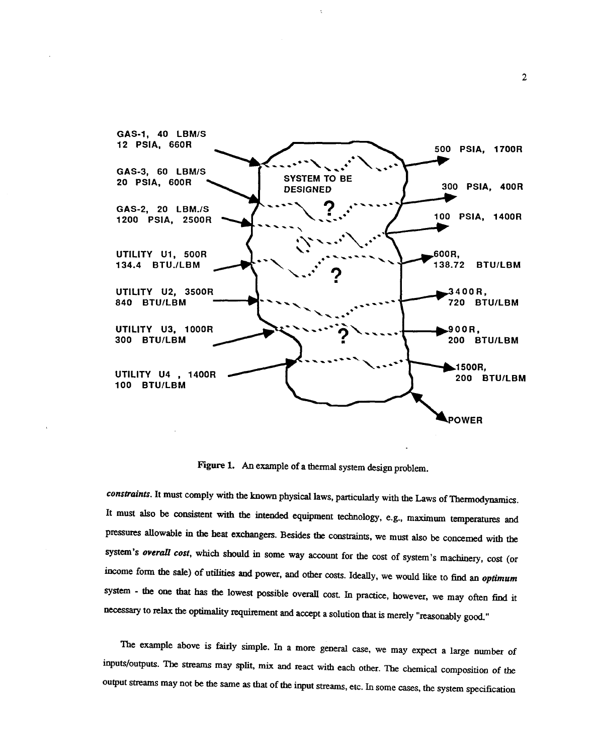

Figure 1. An example of a thermal system design problem.

constraints. It must comply with the known physical laws, particularly with the Laws of Thermodynamics. It must also be consistent with the intended equipment technology, e.g., maximum temperatures and pressures allowable in the heat exchangers. Besides the constraints, we must also be concerned with the system's overall cost, which should in some way account for the cost of system's machinery, cost (or income form the sale) of utilities and power, and other costs. Ideally, we would like to find an optimum system - the one that has the lowest possible overall cost. In practice, however, we may often find it necessary to relax the optimality requirement and accept a solution that is merely "reasonably good."

The example above is fairly simple. In a more general case, we may expect a large number of inputs/outputs. The streams may split, mix and react with each other. The chemical composition of the output streams may not be the same as that of the input streams, etc. In some cases, the system specification